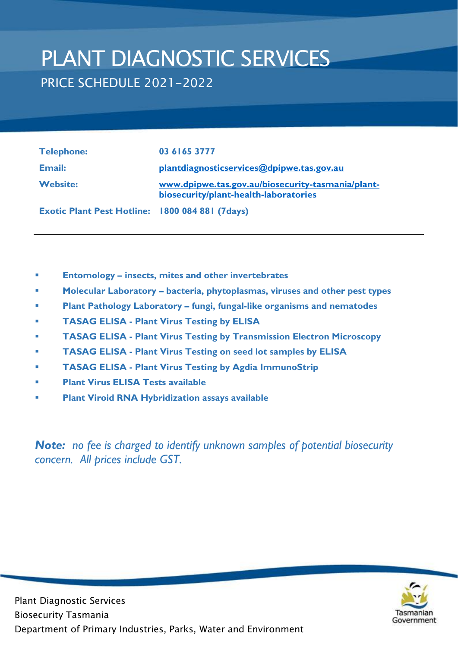# PLANT DIAGNOSTIC SERVICES PRICE SCHEDULE 2021-2022

| <b>Telephone:</b>        | 03 6165 3777                                                                               |
|--------------------------|--------------------------------------------------------------------------------------------|
| Email:                   | plantdiagnosticservices@dpipwe.tas.gov.au                                                  |
| <b>Website:</b>          | www.dpipwe.tas.gov.au/biosecurity-tasmania/plant-<br>biosecurity/plant-health-laboratories |
| <u>in a mar an an an</u> | $\sim$ $\sim$ $\sim$ $\sim$ $\sim$ $\sim$ $\sim$ $\sim$                                    |

**Exotic Plant Pest Hotline: 1800 084 881 (7days)**

- **Entomology – insects, mites and other invertebrates**
- **Molecular Laboratory – bacteria, phytoplasmas, viruses and other pest types**
- **Plant Pathology Laboratory – fungi, fungal-like organisms and nematodes**
- **TASAG ELISA Plant Virus Testing by ELISA**
- **TASAG ELISA Plant Virus Testing by Transmission Electron Microscopy**
- **TASAG ELISA Plant Virus Testing on seed lot samples by ELISA**
- **TASAG ELISA Plant Virus Testing by Agdia ImmunoStrip**
- **Plant Virus ELISA Tests available**
- **Plant Viroid RNA Hybridization assays available**

*Note: no fee is charged to identify unknown samples of potential biosecurity concern. All prices include GST.*

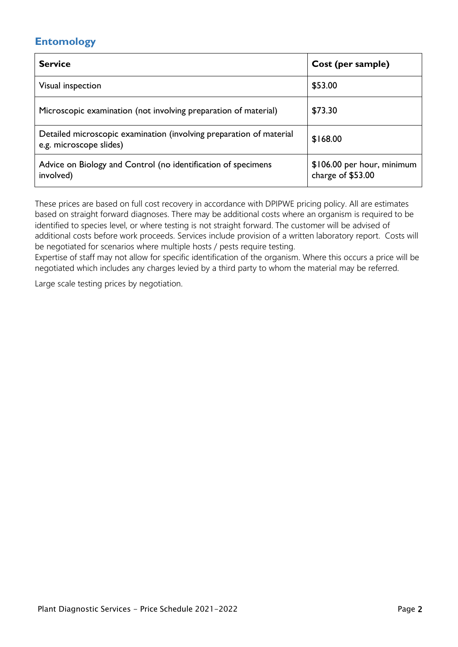# **Entomology**

| <b>Service</b>                                                                                 | Cost (per sample)                               |
|------------------------------------------------------------------------------------------------|-------------------------------------------------|
| Visual inspection                                                                              | \$53.00                                         |
| Microscopic examination (not involving preparation of material)                                | \$73.30                                         |
| Detailed microscopic examination (involving preparation of material<br>e.g. microscope slides) | \$168.00                                        |
| Advice on Biology and Control (no identification of specimens<br>involved)                     | \$106.00 per hour, minimum<br>charge of \$53.00 |

These prices are based on full cost recovery in accordance with DPIPWE pricing policy. All are estimates based on straight forward diagnoses. There may be additional costs where an organism is required to be identified to species level, or where testing is not straight forward. The customer will be advised of additional costs before work proceeds. Services include provision of a written laboratory report. Costs will be negotiated for scenarios where multiple hosts / pests require testing.

Expertise of staff may not allow for specific identification of the organism. Where this occurs a price will be negotiated which includes any charges levied by a third party to whom the material may be referred.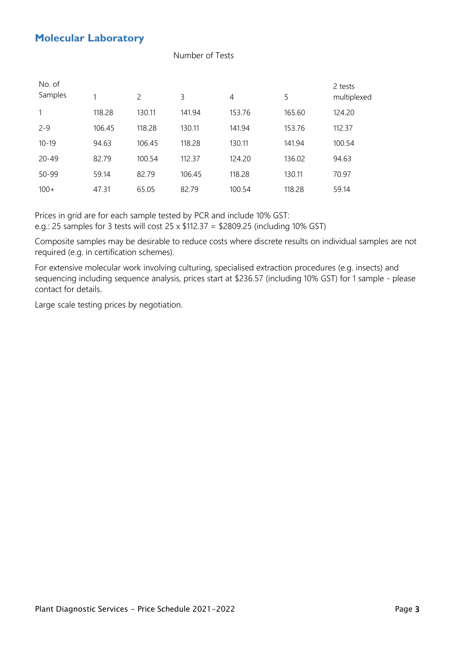## **Molecular Laboratory**

#### Number of Tests

| No. of<br>Samples | 1      | $\mathcal{P}$ | 3      | 4      | 5      | 2 tests<br>multiplexed |
|-------------------|--------|---------------|--------|--------|--------|------------------------|
| $\mathbf{1}$      | 118.28 | 130.11        | 141.94 | 153.76 | 165.60 | 124.20                 |
| $2 - 9$           | 106.45 | 118.28        | 130.11 | 141.94 | 153.76 | 112.37                 |
| $10 - 19$         | 94.63  | 106.45        | 118.28 | 130.11 | 141.94 | 100.54                 |
| $20 - 49$         | 82.79  | 100.54        | 112.37 | 124.20 | 136.02 | 94.63                  |
| 50-99             | 59.14  | 82.79         | 106.45 | 118.28 | 130.11 | 70.97                  |
| $100+$            | 47.31  | 65.05         | 82.79  | 100.54 | 118.28 | 59.14                  |

Prices in grid are for each sample tested by PCR and include 10% GST:

e.g.: 25 samples for 3 tests will cost 25 x \$112.37 = \$2809.25 (including 10% GST)

Composite samples may be desirable to reduce costs where discrete results on individual samples are not required (e.g. in certification schemes).

For extensive molecular work involving culturing, specialised extraction procedures (e.g. insects) and sequencing including sequence analysis, prices start at \$236.57 (including 10% GST) for 1 sample - please contact for details.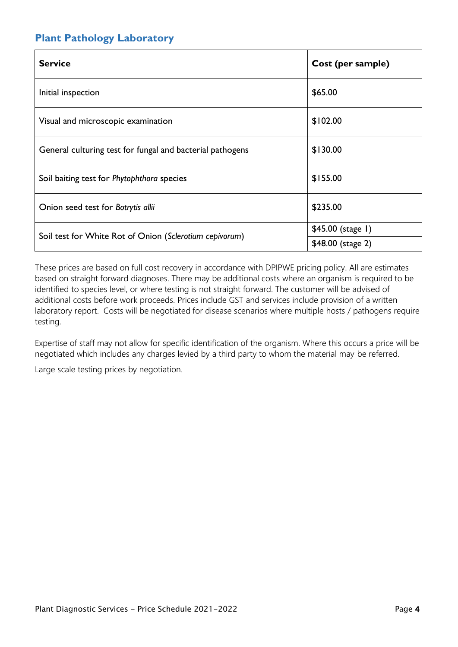# **Plant Pathology Laboratory**

| <b>Service</b>                                            | Cost (per sample) |
|-----------------------------------------------------------|-------------------|
| Initial inspection                                        | \$65.00           |
| Visual and microscopic examination                        | \$102.00          |
| General culturing test for fungal and bacterial pathogens | \$130.00          |
| Soil baiting test for Phytophthora species                | \$155.00          |
| Onion seed test for Botrytis allii                        | \$235.00          |
|                                                           | \$45.00 (stage 1) |
| Soil test for White Rot of Onion (Sclerotium cepivorum)   | \$48.00 (stage 2) |

These prices are based on full cost recovery in accordance with DPIPWE pricing policy. All are estimates based on straight forward diagnoses. There may be additional costs where an organism is required to be identified to species level, or where testing is not straight forward. The customer will be advised of additional costs before work proceeds. Prices include GST and services include provision of a written laboratory report. Costs will be negotiated for disease scenarios where multiple hosts / pathogens require testing.

Expertise of staff may not allow for specific identification of the organism. Where this occurs a price will be negotiated which includes any charges levied by a third party to whom the material may be referred.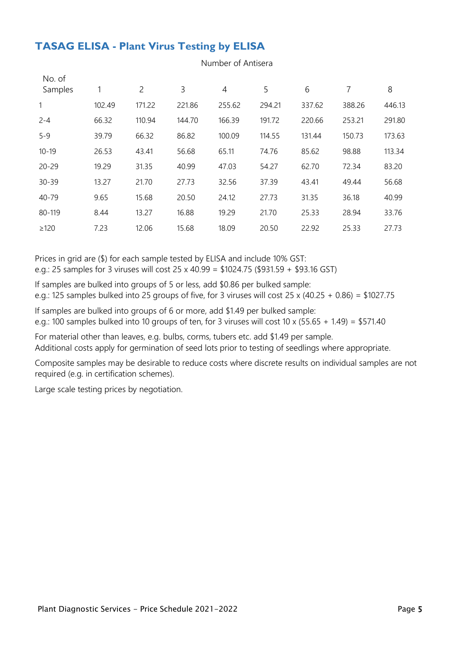# **TASAG ELISA - Plant Virus Testing by ELISA**

| No. of<br>Samples |        | $\overline{2}$ | 3      | $\overline{4}$ | 5      | 6      | 7      | 8      |
|-------------------|--------|----------------|--------|----------------|--------|--------|--------|--------|
| 1                 | 102.49 | 171.22         | 221.86 | 255.62         | 294.21 | 337.62 | 388.26 | 446.13 |
| $2 - 4$           | 66.32  | 110.94         | 144.70 | 166.39         | 191.72 | 220.66 | 253.21 | 291.80 |
| $5 - 9$           | 39.79  | 66.32          | 86.82  | 100.09         | 114.55 | 131.44 | 150.73 | 173.63 |
| $10 - 19$         | 26.53  | 43.41          | 56.68  | 65.11          | 74.76  | 85.62  | 98.88  | 113.34 |
| $20 - 29$         | 19.29  | 31.35          | 40.99  | 47.03          | 54.27  | 62.70  | 72.34  | 83.20  |
| $30 - 39$         | 13.27  | 21.70          | 27.73  | 32.56          | 37.39  | 43.41  | 49.44  | 56.68  |
| 40-79             | 9.65   | 15.68          | 20.50  | 24.12          | 27.73  | 31.35  | 36.18  | 40.99  |
| 80-119            | 8.44   | 13.27          | 16.88  | 19.29          | 21.70  | 25.33  | 28.94  | 33.76  |
| $\geq$ 120        | 7.23   | 12.06          | 15.68  | 18.09          | 20.50  | 22.92  | 25.33  | 27.73  |

Number of Antisera

Prices in grid are (\$) for each sample tested by ELISA and include 10% GST: e.g.: 25 samples for 3 viruses will cost 25 x 40.99 = \$1024.75 (\$931.59 + \$93.16 GST)

If samples are bulked into groups of 5 or less, add \$0.86 per bulked sample: e.g.: 125 samples bulked into 25 groups of five, for 3 viruses will cost 25 x (40.25 + 0.86) = \$1027.75

If samples are bulked into groups of 6 or more, add \$1.49 per bulked sample: e.g.: 100 samples bulked into 10 groups of ten, for 3 viruses will cost 10 x (55.65 + 1.49) = \$571.40

For material other than leaves, e.g. bulbs, corms, tubers etc. add \$1.49 per sample.

Additional costs apply for germination of seed lots prior to testing of seedlings where appropriate.

Composite samples may be desirable to reduce costs where discrete results on individual samples are not required (e.g. in certification schemes).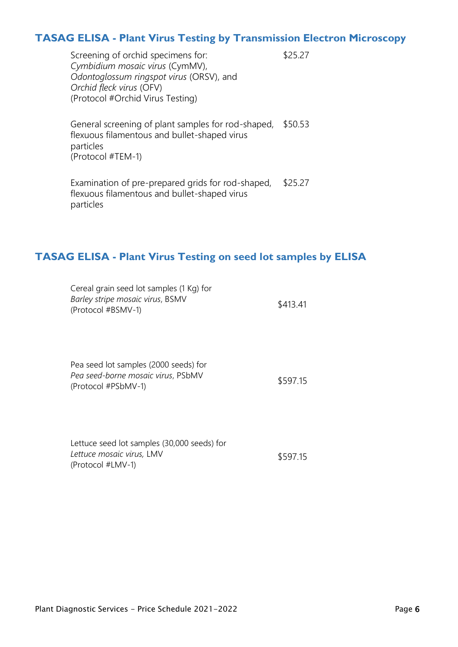## **TASAG ELISA - Plant Virus Testing by Transmission Electron Microscopy**

\$25.27

Screening of orchid specimens for: *Cymbidium mosaic virus* (CymMV), *Odontoglossum ringspot virus* (ORSV), and *Orchid fleck virus* (OFV) (Protocol #Orchid Virus Testing)

General screening of plant samples for rod-shaped, \$50.53 flexuous filamentous and bullet-shaped virus particles (Protocol #TEM-1)

Examination of pre-prepared grids for rod-shaped, flexuous filamentous and bullet-shaped virus particles \$25.27

## **TASAG ELISA - Plant Virus Testing on seed lot samples by ELISA**

| Cereal grain seed lot samples (1 Kg) for |          |
|------------------------------------------|----------|
| Barley stripe mosaic virus, BSMV         | \$413.41 |
| (Protocol #BSMV-1)                       |          |

| Pea seed lot samples (2000 seeds) for |          |
|---------------------------------------|----------|
| Pea seed-borne mosaic virus, PSbMV    | \$597.15 |
| (Protocol #PSbMV-1)                   |          |

| Lettuce seed lot samples (30,000 seeds) for |          |
|---------------------------------------------|----------|
| Lettuce mosaic virus, LMV                   | \$597.15 |
| (Protocol #LMV-1)                           |          |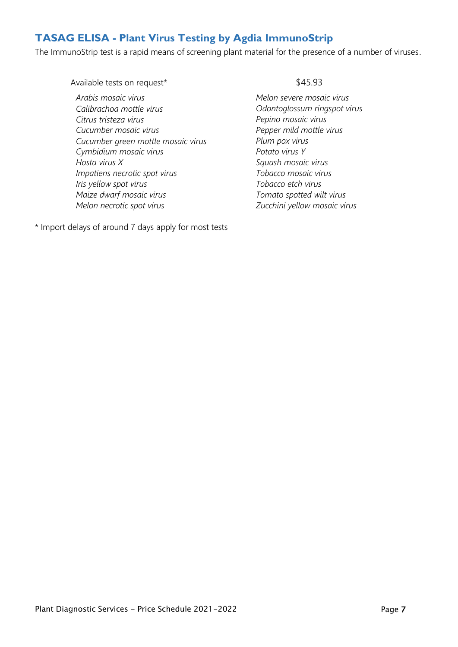# **TASAG ELISA - Plant Virus Testing by Agdia ImmunoStrip**

The ImmunoStrip test is a rapid means of screening plant material for the presence of a number of viruses.

Available tests on request\*

*Arabis mosaic virus Calibrachoa mottle virus Citrus tristeza virus Cucumber mosaic virus Cucumber green mottle mosaic virus Cymbidium mosaic virus Hosta virus X Impatiens necrotic spot virus Iris yellow spot virus Maize dwarf mosaic virus Melon necrotic spot virus*

\* Import delays of around 7 days apply for most tests

#### \$45.93

*Melon severe mosaic virus Odontoglossum ringspot virus Pepino mosaic virus Pepper mild mottle virus Plum pox virus Potato virus Y Squash mosaic virus Tobacco mosaic virus Tobacco etch virus Tomato spotted wilt virus Zucchini yellow mosaic virus*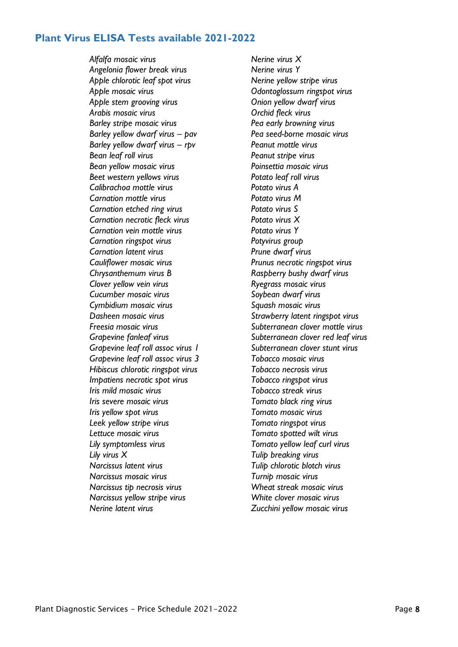#### **Plant Virus ELISA Tests available 2021-2022**

*Alfalfa mosaic virus Nerine virus X Angelonia flower break virus Nerine virus Y Apple chlorotic leaf spot virus Nerine yellow stripe virus Apple mosaic virus Odontoglossum ringspot virus Apple stem grooving virus Onion yellow dwarf virus Arabis mosaic virus Orchid fleck virus Barley stripe mosaic virus Pea early browning virus Barley yellow dwarf virus – pav Pea seed-borne mosaic virus Barley yellow dwarf virus – rpv Peanut mottle virus Bean leaf roll virus Peanut stripe virus Bean yellow mosaic virus Poinsettia mosaic virus Beet western yellows virus Potato leaf roll virus Calibrachoa mottle virus Potato virus A Carnation mottle virus Potato virus M Carnation etched ring virus Potato virus S Carnation necrotic fleck virus Potato virus X Carnation vein mottle virus Potato virus Y Carnation ringspot virus Potyvirus group Carnation latent virus Prune dwarf virus Cauliflower mosaic virus Prunus necrotic ringspot virus Chrysanthemum virus B Raspberry bushy dwarf virus Clover yellow vein virus Ryegrass mosaic virus Cucumber mosaic virus Soybean dwarf virus Cymbidium mosaic virus Squash mosaic virus Dasheen mosaic virus Strawberry latent ringspot virus Freesia mosaic virus Subterranean clover mottle virus Grapevine fanleaf virus Subterranean clover red leaf virus Grapevine leaf roll assoc virus 1 Subterranean clover stunt virus Grapevine leaf roll assoc virus 3 Tobacco mosaic virus Hibiscus chlorotic ringspot virus Tobacco necrosis virus Impatiens necrotic spot virus Tobacco ringspot virus Iris mild mosaic virus Tobacco streak virus Iris severe mosaic virus Tomato black ring virus Iris yellow spot virus Tomato mosaic virus Leek yellow stripe virus Tomato ringspot virus Lettuce mosaic virus Tomato spotted wilt virus Lily symptomless virus Tomato yellow leaf curl virus Lily virus X Tulip breaking virus Narcissus latent virus Tulip chlorotic blotch virus Narcissus mosaic virus Turnip mosaic virus Narcissus tip necrosis virus Wheat streak mosaic virus Narcissus yellow stripe virus White clover mosaic virus Nerine latent virus Zucchini yellow mosaic virus*